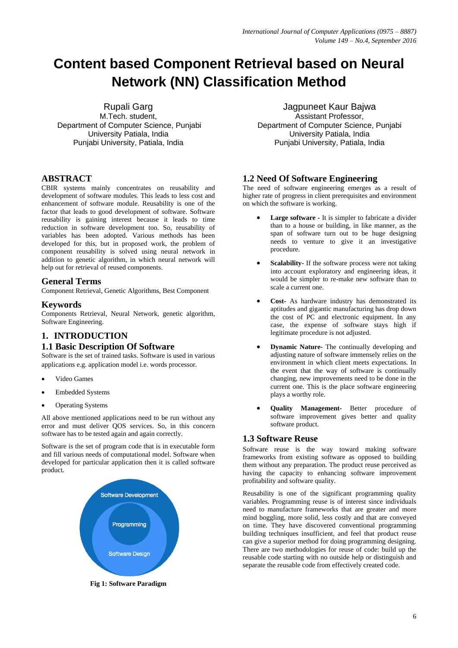# **Content based Component Retrieval based on Neural Network (NN) Classification Method**

Rupali Garg

M.Tech. student, Department of Computer Science, Punjabi University Patiala, India Punjabi University, Patiala, India

## **ABSTRACT**

CBIR systems mainly concentrates on reusability and development of software modules. This leads to less cost and enhancement of software module. Reusability is one of the factor that leads to good development of software. Software reusability is gaining interest because it leads to time reduction in software development too. So, reusability of variables has been adopted. Various methods has been developed for this, but in proposed work, the problem of component reusability is solved using neural network in addition to genetic algorithm, in which neural network will help out for retrieval of reused components.

#### **General Terms**

Component Retrieval, Genetic Algorithms, Best Component

## **Keywords**

Components Retrieval, Neural Network, genetic algorithm, Software Engineering.

# **1. INTRODUCTION**

# **1.1 Basic Description Of Software**

Software is the set of trained tasks. Software is used in various applications e.g. application model i.e. words processor.

- Video Games
- Embedded Systems
- Operating Systems

All above mentioned applications need to be run without any error and must deliver QOS services. So, in this concern software has to be tested again and again correctly.

Software is the set of program code that is in executable form and fill various needs of computational model. Software when developed for particular application then it is called software product.



**Fig 1: Software Paradigm**

Jagpuneet Kaur Bajwa Assistant Professor, Department of Computer Science, Punjabi University Patiala, India Punjabi University, Patiala, India

#### **1.2 Need Of Software Engineering**

The need of software engineering emerges as a result of higher rate of progress in client prerequisites and environment on which the software is working.

- **Large software -** It is simpler to fabricate a divider than to a house or building, in like manner, as the span of software turn out to be huge designing needs to venture to give it an investigative procedure.
- **Scalability-** If the software process were not taking into account exploratory and engineering ideas, it would be simpler to re-make new software than to scale a current one.
- **Cost-** As hardware industry has demonstrated its aptitudes and gigantic manufacturing has drop down the cost of PC and electronic equipment. In any case, the expense of software stays high if legitimate procedure is not adjusted.
- **Dynamic Nature-** The continually developing and adjusting nature of software immensely relies on the environment in which client meets expectations. In the event that the way of software is continually changing, new improvements need to be done in the current one. This is the place software engineering plays a worthy role.
- **Quality Management-** Better procedure of software improvement gives better and quality software product.

#### **1.3 Software Reuse**

Software reuse is the way toward making software frameworks from existing software as opposed to building them without any preparation. The product reuse perceived as having the capacity to enhancing software improvement profitability and software quality.

Reusability is one of the significant programming quality variables. Programming reuse is of interest since individuals need to manufacture frameworks that are greater and more mind boggling, more solid, less costly and that are conveyed on time. They have discovered conventional programming building techniques insufficient, and feel that product reuse can give a superior method for doing programming designing. There are two methodologies for reuse of code: build up the reusable code starting with no outside help or distinguish and separate the reusable code from effectively created code.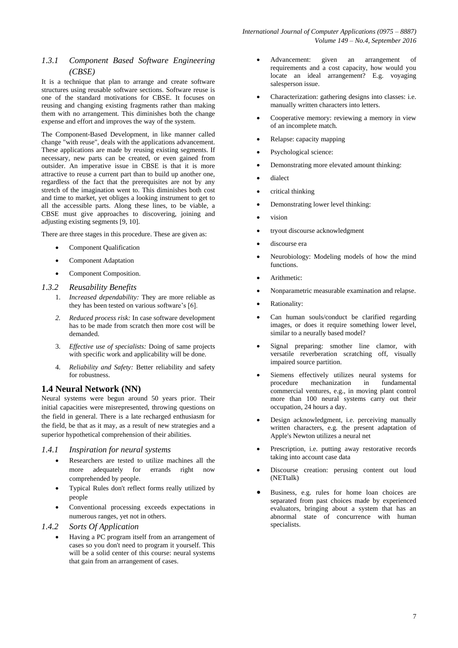#### *1.3.1 Component Based Software Engineering (CBSE)*

It is a technique that plan to arrange and create software structures using reusable software sections. Software reuse is one of the standard motivations for CBSE. It focuses on reusing and changing existing fragments rather than making them with no arrangement. This diminishes both the change expense and effort and improves the way of the system.

The Component-Based Development, in like manner called change "with reuse", deals with the applications advancement. These applications are made by reusing existing segments. If necessary, new parts can be created, or even gained from outsider. An imperative issue in CBSE is that it is more attractive to reuse a current part than to build up another one, regardless of the fact that the prerequisites are not by any stretch of the imagination went to. This diminishes both cost and time to market, yet obliges a looking instrument to get to all the accessible parts. Along these lines, to be viable, a CBSE must give approaches to discovering, joining and adjusting existing segments [9, 10].

There are three stages in this procedure. These are given as:

- Component Qualification
- Component Adaptation
- Component Composition.

#### *1.3.2 Reusability Benefits*

- 1. *Increased dependability:* They are more reliable as they has been tested on various software's [6].
- *2. Reduced process risk:* In case software development has to be made from scratch then more cost will be demanded.
- 3. *Effective use of specialists:* Doing of same projects with specific work and applicability will be done.
- 4. *Reliability and Safety:* Better reliability and safety for robustness.

#### **1.4 Neural Network (NN)**

Neural systems were begun around 50 years prior. Their initial capacities were misrepresented, throwing questions on the field in general. There is a late recharged enthusiasm for the field, be that as it may, as a result of new strategies and a superior hypothetical comprehension of their abilities.

#### *1.4.1 Inspiration for neural systems*

- Researchers are tested to utilize machines all the more adequately for errands right now comprehended by people.
- Typical Rules don't reflect forms really utilized by people
- Conventional processing exceeds expectations in numerous ranges, yet not in others.
- *1.4.2 Sorts Of Application*
	- Having a PC program itself from an arrangement of cases so you don't need to program it yourself. This will be a solid center of this course: neural systems that gain from an arrangement of cases.
- Advancement: given an arrangement of requirements and a cost capacity, how would you locate an ideal arrangement? E.g. voyaging salesperson issue.
- Characterization: gathering designs into classes: i.e. manually written characters into letters.
- Cooperative memory: reviewing a memory in view of an incomplete match.
- Relapse: capacity mapping
- Psychological science:
- Demonstrating more elevated amount thinking:
- dialect
- critical thinking
- Demonstrating lower level thinking:
- vision
- tryout discourse acknowledgment
- discourse era
- Neurobiology: Modeling models of how the mind functions.
- Arithmetic:
- Nonparametric measurable examination and relapse.
- Rationality:
- Can human souls/conduct be clarified regarding images, or does it require something lower level, similar to a neurally based model?
- Signal preparing: smother line clamor, with versatile reverberation scratching off, visually impaired source partition.
- Siemens effectively utilizes neural systems for procedure mechanization in fundamental commercial ventures, e.g., in moving plant control more than 100 neural systems carry out their occupation, 24 hours a day.
- Design acknowledgment, i.e. perceiving manually written characters, e.g. the present adaptation of Apple's Newton utilizes a neural net
- Prescription, i.e. putting away restorative records taking into account case data
- Discourse creation: perusing content out loud (NETtalk)
- Business, e.g. rules for home loan choices are separated from past choices made by experienced evaluators, bringing about a system that has an abnormal state of concurrence with human specialists.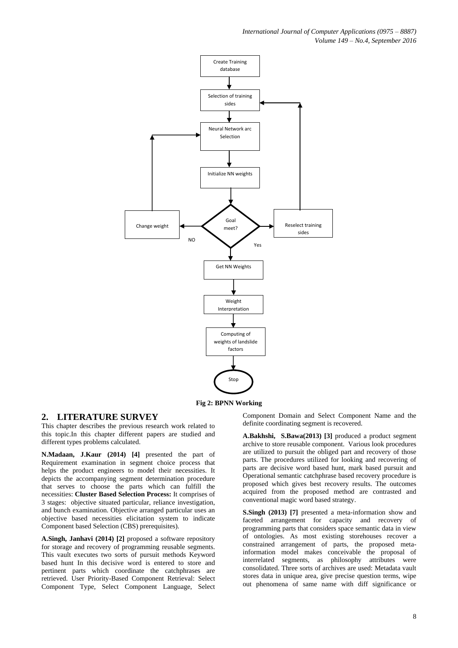*International Journal of Computer Applications (0975 – 8887) Volume 149 – No.4, September 2016*



**Fig 2: BPNN Working**

#### **2. LITERATURE SURVEY**

This chapter describes the previous research work related to this topic.In this chapter different papers are studied and different types problems calculated.

**N.Madaan, J.Kaur (2014) [4]** presented the part of Requirement examination in segment choice process that helps the product engineers to model their necessities. It depicts the accompanying segment determination procedure that serves to choose the parts which can fulfill the necessities: **Cluster Based Selection Process:** It comprises of 3 stages: objective situated particular, reliance investigation, and bunch examination. Objective arranged particular uses an objective based necessities elicitation system to indicate Component based Selection (CBS) prerequisites).

**A.Singh, Janhavi (2014) [2]** proposed a software repository for storage and recovery of programming reusable segments. This vault executes two sorts of pursuit methods Keyword based hunt In this decisive word is entered to store and pertinent parts which coordinate the catchphrases are retrieved. User Priority-Based Component Retrieval: Select Component Type, Select Component Language, Select Component Domain and Select Component Name and the definite coordinating segment is recovered.

**A.Bakhshi, S.Bawa(2013) [3]** produced a product segment archive to store reusable component. Various look procedures are utilized to pursuit the obliged part and recovery of those parts. The procedures utilized for looking and recovering of parts are decisive word based hunt, mark based pursuit and Operational semantic catchphrase based recovery procedure is proposed which gives best recovery results. The outcomes acquired from the proposed method are contrasted and conventional magic word based strategy.

**S.Singh (2013) [7]** presented a meta-information show and faceted arrangement for capacity and recovery of programming parts that considers space semantic data in view of ontologies. As most existing storehouses recover a constrained arrangement of parts, the proposed metainformation model makes conceivable the proposal of interrelated segments, as philosophy attributes were consolidated. Three sorts of archives are used: Metadata vault stores data in unique area, give precise question terms, wipe out phenomena of same name with diff significance or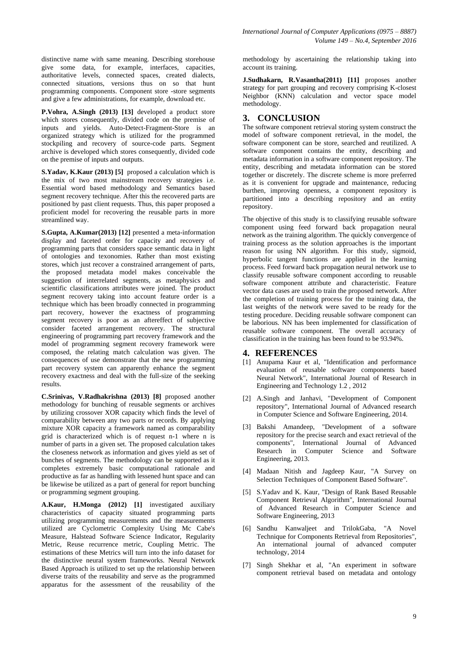distinctive name with same meaning. Describing storehouse give some data, for example, interfaces, capacities, authoritative levels, connected spaces, created dialects, connected situations, versions thus on so that hunt programming components. Component store -store segments and give a few administrations, for example, download etc.

**P.Vohra, A.Singh (2013) [13]** developed a product store which stores consequently, divided code on the premise of inputs and yields. Auto-Detect-Fragment-Store is an organized strategy which is utilized for the programmed stockpiling and recovery of source-code parts. Segment archive is developed which stores consequently, divided code on the premise of inputs and outputs.

**S.Yadav, K.Kaur (2013) [5]** proposed a calculation which is the mix of two most mainstream recovery strategies i.e. Essential word based methodology and Semantics based segment recovery technique. After this the recovered parts are positioned by past client requests. Thus, this paper proposed a proficient model for recovering the reusable parts in more streamlined way.

**S.Gupta, A.Kumar(2013) [12]** presented a meta-information display and faceted order for capacity and recovery of programming parts that considers space semantic data in light of ontologies and texonomies. Rather than most existing stores, which just recover a constrained arrangement of parts, the proposed metadata model makes conceivable the suggestion of interrelated segments, as metaphysics and scientific classifications attributes were joined. The product segment recovery taking into account feature order is a technique which has been broadly connected in programming part recovery, however the exactness of programming segment recovery is poor as an aftereffect of subjective consider faceted arrangement recovery. The structural engineering of programming part recovery framework and the model of programming segment recovery framework were composed, the relating match calculation was given. The consequences of use demonstrate that the new programming part recovery system can apparently enhance the segment recovery exactness and deal with the full-size of the seeking results.

**C.Srinivas, V.Radhakrishna (2013) [8]** proposed another methodology for bunching of reusable segments or archives by utilizing crossover XOR capacity which finds the level of comparability between any two parts or records. By applying mixture XOR capacity a framework named as comparability grid is characterized which is of request n-1 where n is number of parts in a given set. The proposed calculation takes the closeness network as information and gives yield as set of bunches of segments. The methodology can be supported as it completes extremely basic computational rationale and productive as far as handling with lessened hunt space and can be likewise be utilized as a part of general for report bunching or programming segment grouping.

**A.Kaur, H.Monga (2012) [1]** investigated auxiliary characteristics of capacity situated programming parts utilizing programming measurements and the measurements utilized are Cyclometric Complexity Using Mc Cabe's Measure, Halstead Software Science Indicator, Regularity Metric, Reuse recurrence metric, Coupling Metric. The estimations of these Metrics will turn into the info dataset for the distinctive neural system frameworks. Neural Network Based Approach is utilized to set up the relationship between diverse traits of the reusability and serve as the programmed apparatus for the assessment of the reusability of the

methodology by ascertaining the relationship taking into account its training.

**J.Sudhakarn, R.Vasantha(2011) [11]** proposes another strategy for part grouping and recovery comprising K-closest Neighbor (KNN) calculation and vector space model methodology.

# **3. CONCLUSION**

The software component retrieval storing system construct the model of software component retrieval, in the model, the software component can be store, searched and reutilized. A software component contains the entity, describing and metadata information in a software component repository. The entity, describing and metadata information can be stored together or discretely. The discrete scheme is more preferred as it is convenient for upgrade and maintenance, reducing burthen, improving openness, a component repository is partitioned into a describing repository and an entity repository.

The objective of this study is to classifying reusable software component using feed forward back propagation neural network as the training algorithm. The quickly convergence of training process as the solution approaches is the important reason for using NN algorithm. For this study, sigmoid, hyperbolic tangent functions are applied in the learning process. Feed forward back propagation neural network use to classify reusable software component according to reusable software component attribute and characteristic. Feature vector data cases are used to train the proposed network. After the completion of training process for the training data, the last weights of the network were saved to be ready for the testing procedure. Deciding reusable software component can be laborious. NN has been implemented for classification of reusable software component. The overall accuracy of classification in the training has been found to be 93.94%.

#### **4. REFERENCES**

- [1] Anupama Kaur et al, "Identification and performance evaluation of reusable software components based Neural Network", International Journal of Research in Engineering and Technology 1.2 , 2012
- [2] A.Singh and Janhavi, "Development of Component repository", International Journal of Advanced research in Computer Science and Software Engineering, 2014.
- [3] Bakshi Amandeep, "Development of a software repository for the precise search and exact retrieval of the components", International Journal of Advanced Research in Computer Science and Software Engineering, 2013.
- [4] Madaan Nitish and Jagdeep Kaur, "A Survey on Selection Techniques of Component Based Software".
- [5] S.Yadav and K. Kaur, "Design of Rank Based Reusable Component Retrieval Algorithm", International Journal of Advanced Research in Computer Science and Software Engineering, 2013
- [6] Sandhu Kanwaljeet and TrilokGaba, "A Novel Technique for Components Retrieval from Repositories". An international journal of advanced computer technology, 2014
- [7] Singh Shekhar et al, "An experiment in software component retrieval based on metadata and ontology